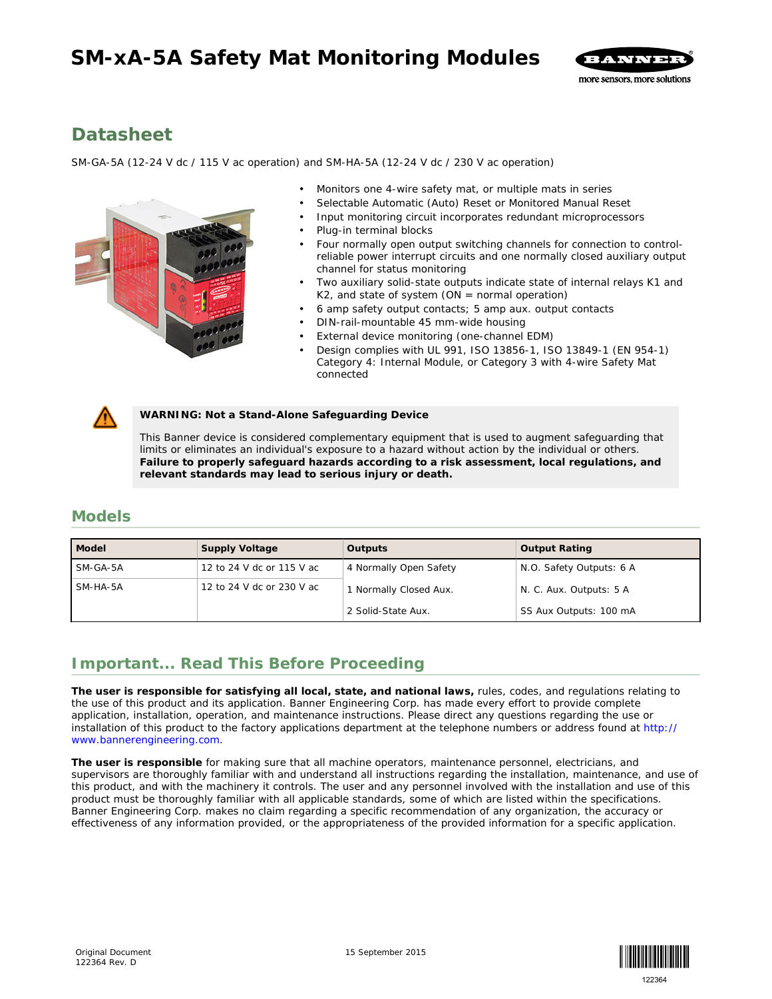# **SM-xA-5A Safety Mat Monitoring Modules**



# **Datasheet**

*SM-GA-5A (12-24 V dc / 115 V ac operation) and SM-HA-5A (12-24 V dc / 230 V ac operation)*



- Monitors one 4-wire safety mat, or multiple mats in series
- Selectable Automatic (Auto) Reset or Monitored Manual Reset
- Input monitoring circuit incorporates redundant microprocessors
- Plug-in terminal blocks
- Four normally open output switching channels for connection to controlreliable power interrupt circuits and one normally closed auxiliary output channel for status monitoring
- Two auxiliary solid-state outputs indicate state of internal relays K1 and  $K2$ , and state of system (ON = normal operation)
- 6 amp safety output contacts; 5 amp aux. output contacts
- DIN-rail-mountable 45 mm-wide housing
- External device monitoring (one-channel EDM)
- Design complies with UL 991, ISO 13856-1, ISO 13849-1 (EN 954-1) Category 4: Internal Module, or Category 3 with 4-wire Safety Mat connected



**WARNING: Not a Stand-Alone Safeguarding Device**

This Banner device is considered complementary equipment that is used to augment safeguarding that limits or eliminates an individual's exposure to a hazard without action by the individual or others. **Failure to properly safeguard hazards according to a risk assessment, local regulations, and relevant standards may lead to serious injury or death.**

## **Models**

| Model      | Supply Voltage            | Outputs                | <b>Output Rating</b>     |
|------------|---------------------------|------------------------|--------------------------|
| SM-GA-5A   | 12 to 24 V dc or 115 V ac | 4 Normally Open Safety | N.O. Safety Outputs: 6 A |
| $SM-HA-5A$ | 12 to 24 V dc or 230 V ac | 1 Normally Closed Aux. | N. C. Aux. Outputs: 5 A  |
|            |                           | 2 Solid-State Aux.     | SS Aux Outputs: 100 mA   |

# **Important... Read This Before Proceeding**

**The user is responsible for satisfying all local, state, and national laws,** rules, codes, and regulations relating to the use of this product and its application. Banner Engineering Corp. has made every effort to provide complete application, installation, operation, and maintenance instructions. Please direct any questions regarding the use or installation of this product to the factory applications department at the telephone numbers or address found at *[http://](http://www.bannerengineering.com) [www.bannerengineering.com](http://www.bannerengineering.com)*.

**The user is responsible** for making sure that all machine operators, maintenance personnel, electricians, and supervisors are thoroughly familiar with and understand all instructions regarding the installation, maintenance, and use of this product, and with the machinery it controls. The user and any personnel involved with the installation and use of this product must be thoroughly familiar with all applicable standards, some of which are listed within the specifications. Banner Engineering Corp. makes no claim regarding a specific recommendation of any organization, the accuracy or effectiveness of any information provided, or the appropriateness of the provided information for a specific application.

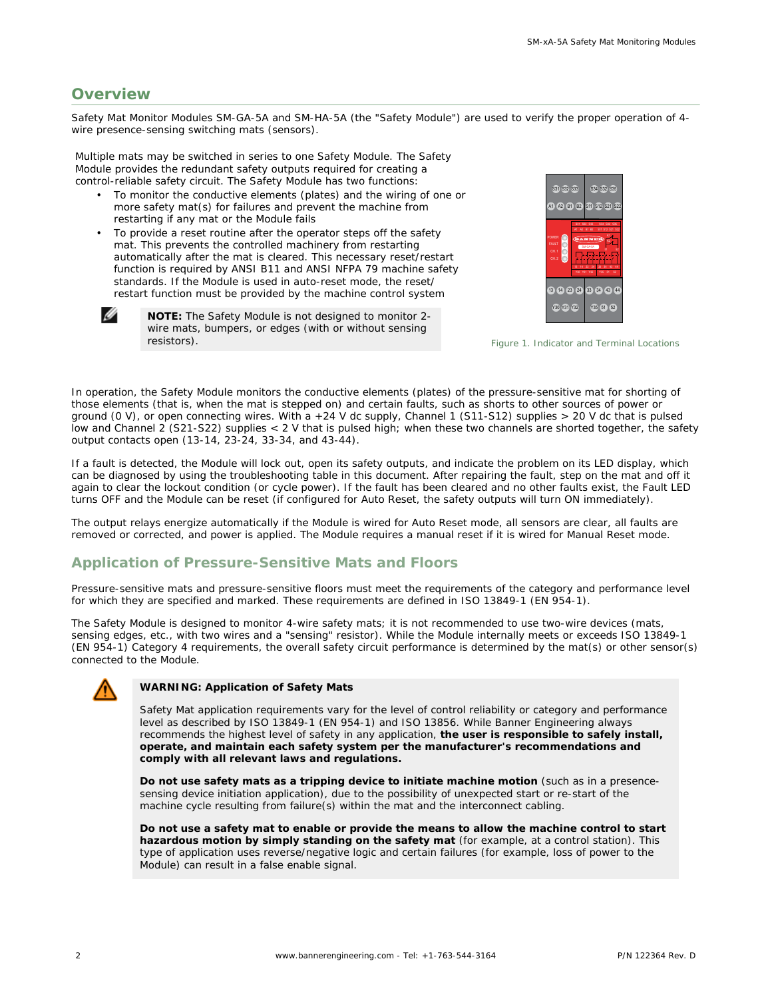## **Overview**

Ø

resistors).

Safety Mat Monitor Modules SM-GA-5A and SM-HA-5A (the "Safety Module") are used to verify the proper operation of 4 wire presence-sensing switching mats (sensors).

Multiple mats may be switched in series to one Safety Module. The Safety Module provides the redundant safety outputs required for creating a control-reliable safety circuit. The Safety Module has two functions:

- To monitor the conductive elements (plates) and the wiring of one or more safety mat(s) for failures and prevent the machine from restarting if any mat or the Module fails
- To provide a reset routine after the operator steps off the safety mat. This prevents the controlled machinery from restarting automatically after the mat is cleared. This necessary reset/restart function is required by ANSI B11 and ANSI NFPA 79 machine safety standards. If the Module is used in auto-reset mode, the reset/ restart function must be provided by the machine control system

**NOTE:** The Safety Module is not designed to monitor 2 wire mats, bumpers, or edges (with or without sensing



*Figure 1. Indicator and Terminal Locations*

In operation, the Safety Module monitors the conductive elements (plates) of the pressure-sensitive mat for shorting of those elements (that is, when the mat is stepped on) and certain faults, such as shorts to other sources of power or ground (0 V), or open connecting wires. With a +24 V dc supply, Channel 1 (S11-S12) supplies > 20 V dc that is pulsed low and Channel 2 (S21-S22) supplies < 2 V that is pulsed high; when these two channels are shorted together, the safety output contacts open (13-14, 23-24, 33-34, and 43-44).

If a fault is detected, the Module will lock out, open its safety outputs, and indicate the problem on its LED display, which can be diagnosed by using the troubleshooting table in this document. After repairing the fault, step on the mat and off it again to clear the lockout condition (or cycle power). If the fault has been cleared and no other faults exist, the Fault LED turns OFF and the Module can be reset (if configured for Auto Reset, the safety outputs will turn ON immediately).

The output relays energize automatically if the Module is wired for Auto Reset mode, all sensors are clear, all faults are removed or corrected, and power is applied. The Module requires a manual reset if it is wired for Manual Reset mode.

#### **Application of Pressure-Sensitive Mats and Floors**

Pressure-sensitive mats and pressure-sensitive floors must meet the requirements of the category and performance level for which they are specified and marked. These requirements are defined in ISO 13849-1 (EN 954-1).

The Safety Module is designed to monitor 4-wire safety mats; it is not recommended to use two-wire devices (mats, sensing edges, etc., with two wires and a "sensing" resistor). While the Module internally meets or exceeds ISO 13849-1 (EN 954-1) Category 4 requirements, the overall safety circuit performance is determined by the mat(s) or other sensor(s) connected to the Module.



#### **WARNING: Application of Safety Mats**

Safety Mat application requirements vary for the level of control reliability or category and performance level as described by ISO 13849-1 (EN 954-1) and ISO 13856. While Banner Engineering always recommends the highest level of safety in any application, **the user is responsible to safely install, operate, and maintain each safety system per the manufacturer's recommendations and comply with all relevant laws and regulations.**

**Do not use safety mats as a tripping device to initiate machine motion** (such as in a presencesensing device initiation application), due to the possibility of unexpected start or re-start of the machine cycle resulting from failure(s) within the mat and the interconnect cabling.

**Do not use a safety mat to enable or provide the means to allow the machine control to start hazardous motion by simply standing on the safety mat** (for example, at a control station). This type of application uses reverse/negative logic and certain failures (for example, loss of power to the Module) can result in a false enable signal.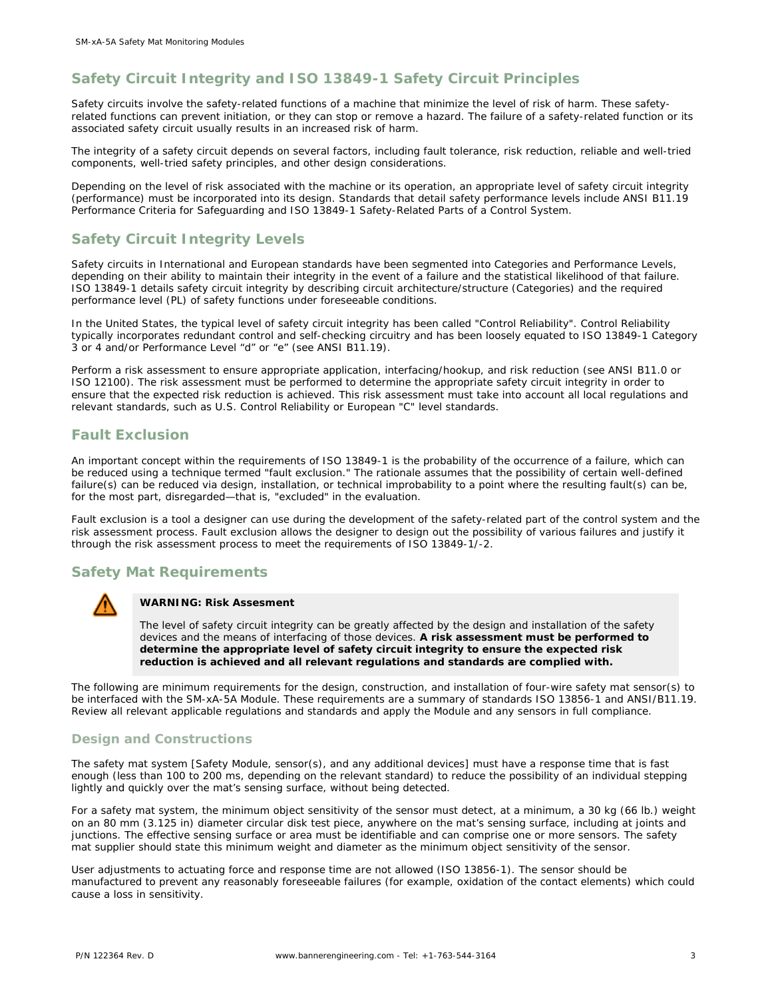## **Safety Circuit Integrity and ISO 13849-1 Safety Circuit Principles**

Safety circuits involve the safety-related functions of a machine that minimize the level of risk of harm. These safetyrelated functions can prevent initiation, or they can stop or remove a hazard. The failure of a safety-related function or its associated safety circuit usually results in an increased risk of harm.

The integrity of a safety circuit depends on several factors, including fault tolerance, risk reduction, reliable and well-tried components, well-tried safety principles, and other design considerations.

Depending on the level of risk associated with the machine or its operation, an appropriate level of safety circuit integrity (performance) must be incorporated into its design. Standards that detail safety performance levels include ANSI B11.19 Performance Criteria for Safeguarding and ISO 13849-1 Safety-Related Parts of a Control System.

## **Safety Circuit Integrity Levels**

Safety circuits in International and European standards have been segmented into Categories and Performance Levels, depending on their ability to maintain their integrity in the event of a failure and the statistical likelihood of that failure. ISO 13849-1 details safety circuit integrity by describing circuit architecture/structure (Categories) and the required performance level (PL) of safety functions under foreseeable conditions.

In the United States, the typical level of safety circuit integrity has been called "Control Reliability". Control Reliability typically incorporates redundant control and self-checking circuitry and has been loosely equated to ISO 13849-1 Category 3 or 4 and/or Performance Level "d" or "e" (see ANSI B11.19).

Perform a risk assessment to ensure appropriate application, interfacing/hookup, and risk reduction (see ANSI B11.0 or ISO 12100). The risk assessment must be performed to determine the appropriate safety circuit integrity in order to ensure that the expected risk reduction is achieved. This risk assessment must take into account all local regulations and relevant standards, such as U.S. Control Reliability or European "C" level standards.

#### **Fault Exclusion**

An important concept within the requirements of ISO 13849-1 is the probability of the occurrence of a failure, which can be reduced using a technique termed "fault exclusion." The rationale assumes that the possibility of certain well-defined failure(s) can be reduced via design, installation, or technical improbability to a point where the resulting fault(s) can be, for the most part, disregarded—that is, "excluded" in the evaluation.

Fault exclusion is a tool a designer can use during the development of the safety-related part of the control system and the risk assessment process. Fault exclusion allows the designer to design out the possibility of various failures and justify it through the risk assessment process to meet the requirements of ISO 13849-1/-2.

## **Safety Mat Requirements**



**WARNING: Risk Assesment**

The level of safety circuit integrity can be greatly affected by the design and installation of the safety devices and the means of interfacing of those devices. **A risk assessment must be performed to determine the appropriate level of safety circuit integrity to ensure the expected risk reduction is achieved and all relevant regulations and standards are complied with.**

The following are minimum requirements for the design, construction, and installation of four-wire safety mat sensor(s) to be interfaced with the SM-xA-5A Module. These requirements are a summary of standards ISO 13856-1 and ANSI/B11.19. Review all relevant applicable regulations and standards and apply the Module and any sensors in full compliance.

#### **Design and Constructions**

The safety mat system [Safety Module, sensor(s), and any additional devices] must have a response time that is fast enough (less than 100 to 200 ms, depending on the relevant standard) to reduce the possibility of an individual stepping lightly and quickly over the mat's sensing surface, without being detected.

For a safety mat system, the minimum object sensitivity of the sensor must detect, at a minimum, a 30 kg (66 lb.) weight on an 80 mm (3.125 in) diameter circular disk test piece, anywhere on the mat's sensing surface, including at joints and junctions. The effective sensing surface or area must be identifiable and can comprise one or more sensors. The safety mat supplier should state this minimum weight and diameter as the minimum object sensitivity of the sensor.

User adjustments to actuating force and response time are not allowed (ISO 13856-1). The sensor should be manufactured to prevent any reasonably foreseeable failures (for example, oxidation of the contact elements) which could cause a loss in sensitivity.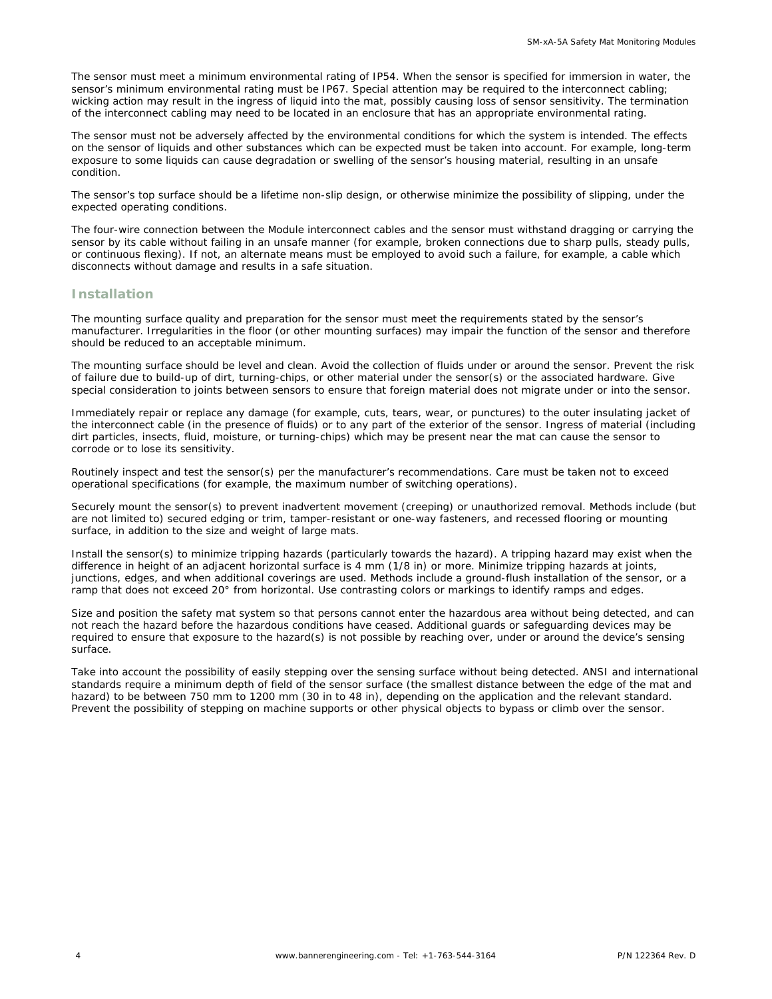The sensor must meet a minimum environmental rating of IP54. When the sensor is specified for immersion in water, the sensor's minimum environmental rating must be IP67. Special attention may be required to the interconnect cabling; wicking action may result in the ingress of liquid into the mat, possibly causing loss of sensor sensitivity. The termination of the interconnect cabling may need to be located in an enclosure that has an appropriate environmental rating.

The sensor must not be adversely affected by the environmental conditions for which the system is intended. The effects on the sensor of liquids and other substances which can be expected must be taken into account. For example, long-term exposure to some liquids can cause degradation or swelling of the sensor's housing material, resulting in an unsafe condition.

The sensor's top surface should be a lifetime non-slip design, or otherwise minimize the possibility of slipping, under the expected operating conditions.

The four-wire connection between the Module interconnect cables and the sensor must withstand dragging or carrying the sensor by its cable without failing in an unsafe manner (for example, broken connections due to sharp pulls, steady pulls, or continuous flexing). If not, an alternate means must be employed to avoid such a failure, for example, a cable which disconnects without damage and results in a safe situation.

#### **Installation**

The mounting surface quality and preparation for the sensor must meet the requirements stated by the sensor's manufacturer. Irregularities in the floor (or other mounting surfaces) may impair the function of the sensor and therefore should be reduced to an acceptable minimum.

The mounting surface should be level and clean. Avoid the collection of fluids under or around the sensor. Prevent the risk of failure due to build-up of dirt, turning-chips, or other material under the sensor(s) or the associated hardware. Give special consideration to joints between sensors to ensure that foreign material does not migrate under or into the sensor.

Immediately repair or replace any damage (for example, cuts, tears, wear, or punctures) to the outer insulating jacket of the interconnect cable (in the presence of fluids) or to any part of the exterior of the sensor. Ingress of material (including dirt particles, insects, fluid, moisture, or turning-chips) which may be present near the mat can cause the sensor to corrode or to lose its sensitivity.

Routinely inspect and test the sensor(s) per the manufacturer's recommendations. Care must be taken not to exceed operational specifications (for example, the maximum number of switching operations).

Securely mount the sensor(s) to prevent inadvertent movement (creeping) or unauthorized removal. Methods include (but are not limited to) secured edging or trim, tamper-resistant or one-way fasteners, and recessed flooring or mounting surface, in addition to the size and weight of large mats.

Install the sensor(s) to minimize tripping hazards (particularly towards the hazard). A tripping hazard may exist when the difference in height of an adjacent horizontal surface is 4 mm (1/8 in) or more. Minimize tripping hazards at joints, junctions, edges, and when additional coverings are used. Methods include a ground-flush installation of the sensor, or a ramp that does not exceed 20° from horizontal. Use contrasting colors or markings to identify ramps and edges.

Size and position the safety mat system so that persons cannot enter the hazardous area without being detected, and can not reach the hazard before the hazardous conditions have ceased. Additional guards or safeguarding devices may be required to ensure that exposure to the hazard(s) is not possible by reaching over, under or around the device's sensing surface.

Take into account the possibility of easily stepping over the sensing surface without being detected. ANSI and international standards require a minimum depth of field of the sensor surface (the smallest distance between the edge of the mat and hazard) to be between 750 mm to 1200 mm (30 in to 48 in), depending on the application and the relevant standard. Prevent the possibility of stepping on machine supports or other physical objects to bypass or climb over the sensor.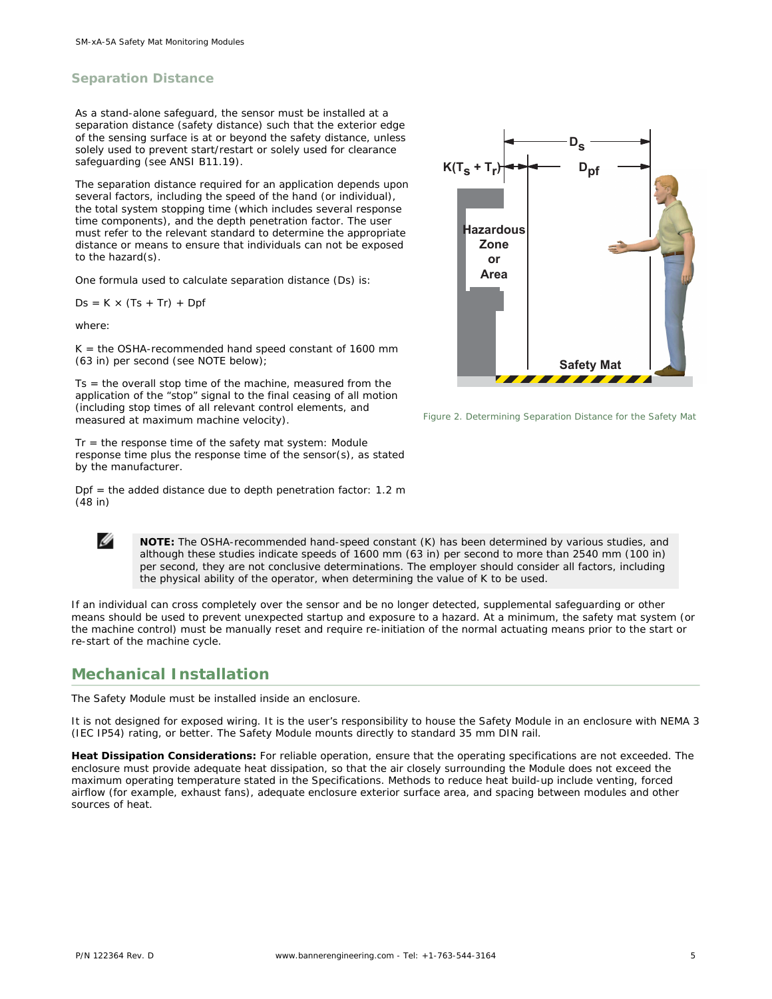#### **Separation Distance**

As a stand-alone safeguard, the sensor must be installed at a separation distance (safety distance) such that the exterior edge of the sensing surface is at or beyond the safety distance, unless solely used to prevent start/restart or solely used for clearance safeguarding (see ANSI B11.19).

The separation distance required for an application depends upon several factors, including the speed of the hand (or individual), the total system stopping time (which includes several response time components), and the depth penetration factor. The user must refer to the relevant standard to determine the appropriate distance or means to ensure that individuals can not be exposed to the hazard(s).

One formula used to calculate separation distance (Ds) is:

 $Ds = K \times (Ts + Tr) + Dpf$ 

where:

Ø

 $K =$  the OSHA-recommended hand speed constant of 1600 mm (63 in) per second (see NOTE below);

 $Ts =$  the overall stop time of the machine, measured from the application of the "stop" signal to the final ceasing of all motion (including stop times of all relevant control elements, and measured at maximum machine velocity).

 $Tr =$  the response time of the safety mat system: Module response time plus the response time of the sensor(s), as stated by the manufacturer.

 $Dpf = the added distance due to depth penetration factor: 1.2 m$ (48 in)



*Figure 2. Determining Separation Distance for the Safety Mat*

**NOTE:** The OSHA-recommended hand-speed constant (K) has been determined by various studies, and although these studies indicate speeds of 1600 mm (63 in) per second to more than 2540 mm (100 in) per second, they are not conclusive determinations. The employer should consider all factors, including the physical ability of the operator, when determining the value of K to be used.

If an individual can cross completely over the sensor and be no longer detected, supplemental safeguarding or other means should be used to prevent unexpected startup and exposure to a hazard. At a minimum, the safety mat system (or the machine control) must be manually reset and require re-initiation of the normal actuating means prior to the start or re-start of the machine cycle.

## **Mechanical Installation**

The Safety Module must be installed inside an enclosure.

It is not designed for exposed wiring. It is the user's responsibility to house the Safety Module in an enclosure with NEMA 3 (IEC IP54) rating, or better. The Safety Module mounts directly to standard 35 mm DIN rail.

**Heat Dissipation Considerations:** For reliable operation, ensure that the operating specifications are not exceeded. The enclosure must provide adequate heat dissipation, so that the air closely surrounding the Module does not exceed the maximum operating temperature stated in the Specifications. Methods to reduce heat build-up include venting, forced airflow (for example, exhaust fans), adequate enclosure exterior surface area, and spacing between modules and other sources of heat.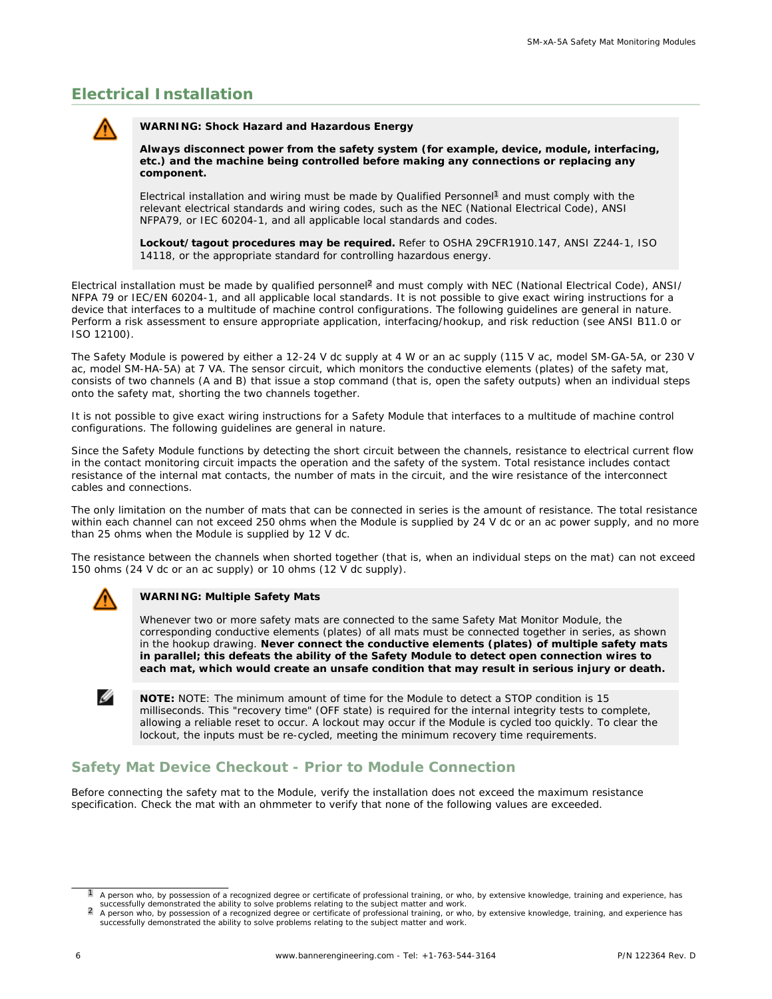## **Electrical Installation**



**WARNING: Shock Hazard and Hazardous Energy**

**Always disconnect power from the safety system (for example, device, module, interfacing, etc.) and the machine being controlled before making any connections or replacing any component.**

Electrical installation and wiring must be made by Qualified Personnel<sup>1</sup> and must comply with the relevant electrical standards and wiring codes, such as the NEC (National Electrical Code), ANSI NFPA79, or IEC 60204-1, and all applicable local standards and codes.

**Lockout/tagout procedures may be required.** Refer to OSHA 29CFR1910.147, ANSI Z244-1, ISO 14118, or the appropriate standard for controlling hazardous energy.

Electrical installation must be made by qualified personnel<sup>2</sup> and must comply with NEC (National Electrical Code), ANSI/ NFPA 79 or IEC/EN 60204-1, and all applicable local standards. It is not possible to give exact wiring instructions for a device that interfaces to a multitude of machine control configurations. The following guidelines are general in nature. Perform a risk assessment to ensure appropriate application, interfacing/hookup, and risk reduction (see ANSI B11.0 or ISO 12100).

The Safety Module is powered by either a 12-24 V dc supply at 4 W or an ac supply (115 V ac, model SM-GA-5A, or 230 V ac, model SM-HA-5A) at 7 VA. The sensor circuit, which monitors the conductive elements (plates) of the safety mat, consists of two channels (A and B) that issue a stop command (that is, open the safety outputs) when an individual steps onto the safety mat, shorting the two channels together.

It is not possible to give exact wiring instructions for a Safety Module that interfaces to a multitude of machine control configurations. The following guidelines are general in nature.

Since the Safety Module functions by detecting the short circuit between the channels, resistance to electrical current flow in the contact monitoring circuit impacts the operation and the safety of the system. Total resistance includes contact resistance of the internal mat contacts, the number of mats in the circuit, and the wire resistance of the interconnect cables and connections.

The only limitation on the number of mats that can be connected in series is the amount of resistance. The total resistance within each channel can not exceed 250 ohms when the Module is supplied by 24 V dc or an ac power supply, and no more than 25 ohms when the Module is supplied by 12 V dc.

The resistance between the channels when shorted together (that is, when an individual steps on the mat) can not exceed 150 ohms (24 V dc or an ac supply) or 10 ohms (12 V dc supply).



Ø

**WARNING: Multiple Safety Mats**

Whenever two or more safety mats are connected to the same Safety Mat Monitor Module, the corresponding conductive elements (plates) of all mats must be connected together in series, as shown in the hookup drawing. **Never connect the conductive elements (plates) of multiple safety mats in parallel; this defeats the ability of the Safety Module to detect open connection wires to each mat, which would create an unsafe condition that may result in serious injury or death.**

**NOTE:** NOTE: The minimum amount of time for the Module to detect a STOP condition is 15 milliseconds. This "recovery time" (OFF state) is required for the internal integrity tests to complete, allowing a reliable reset to occur. A lockout may occur if the Module is cycled too quickly. To clear the lockout, the inputs must be re-cycled, meeting the minimum recovery time requirements.

#### **Safety Mat Device Checkout - Prior to Module Connection**

Before connecting the safety mat to the Module, verify the installation does not exceed the maximum resistance specification. Check the mat with an ohmmeter to verify that none of the following values are exceeded.

<sup>1</sup> A person who, by possession of a recognized degree or certificate of professional training, or who, by extensive knowledge, training and experience, has

successfully demonstrated the ability to solve problems relating to the subject matter and work.<br><sup>2</sup> A person who, by possession of a recognized degree or certificate of professional training, or who, by extensive knowled successfully demonstrated the ability to solve problems relating to the subject matter and work.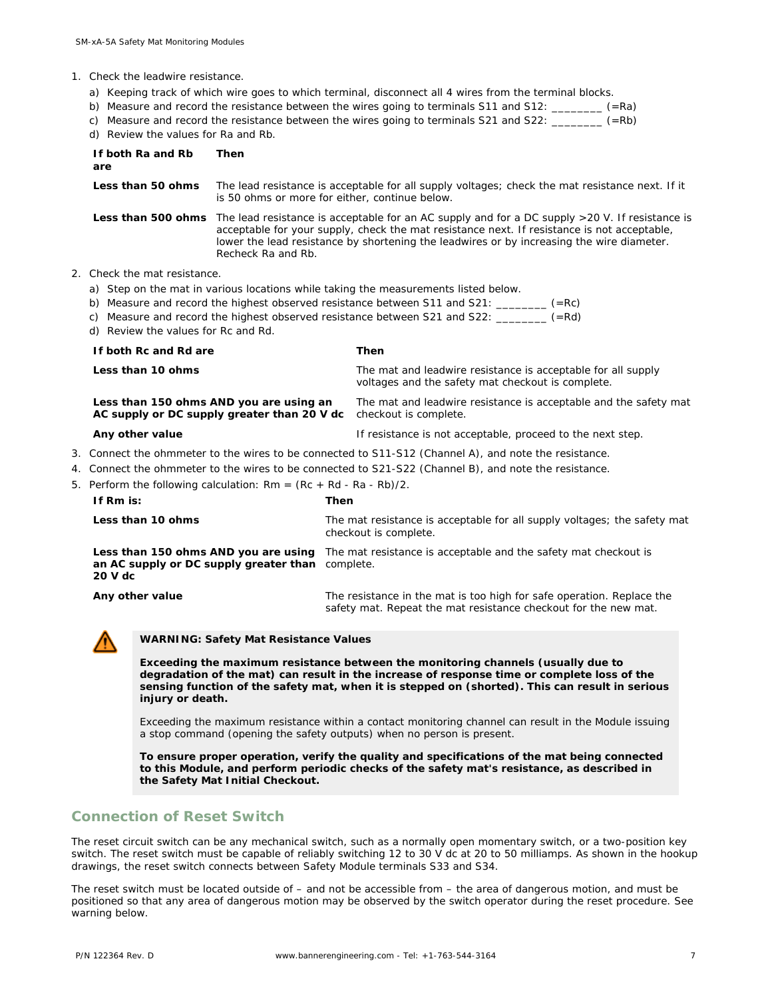- 1. Check the leadwire resistance.
	- a) Keeping track of which wire goes to which terminal, disconnect all 4 wires from the terminal blocks.

| b) Measure and record the resistance between the wires going to terminals S11 and S12: | (=Ra)            |
|----------------------------------------------------------------------------------------|------------------|
| c) Measure and record the resistance between the wires going to terminals S21 and S22: | $(=\mathsf{Rb})$ |

d) Review the values for Ra and Rb.

|                                                                      | <b>INDIANAL LITE VEHICLE TO THE END.</b>                                                              |                                                |                                                                 |                                                                                                                                                                                                                                                                                                               |
|----------------------------------------------------------------------|-------------------------------------------------------------------------------------------------------|------------------------------------------------|-----------------------------------------------------------------|---------------------------------------------------------------------------------------------------------------------------------------------------------------------------------------------------------------------------------------------------------------------------------------------------------------|
|                                                                      | If both Ra and Rb<br>are                                                                              | Then                                           |                                                                 |                                                                                                                                                                                                                                                                                                               |
|                                                                      | Less than 50 ohms                                                                                     | is 50 ohms or more for either, continue below. |                                                                 | The lead resistance is acceptable for all supply voltages; check the mat resistance next. If it                                                                                                                                                                                                               |
|                                                                      |                                                                                                       | Recheck Ra and Rb.                             |                                                                 | Less than 500 ohms The lead resistance is acceptable for an AC supply and for a DC supply >20 V. If resistance is<br>acceptable for your supply, check the mat resistance next. If resistance is not acceptable,<br>lower the lead resistance by shortening the leadwires or by increasing the wire diameter. |
|                                                                      | 2. Check the mat resistance.                                                                          |                                                |                                                                 |                                                                                                                                                                                                                                                                                                               |
|                                                                      |                                                                                                       |                                                |                                                                 | a) Step on the mat in various locations while taking the measurements listed below.                                                                                                                                                                                                                           |
|                                                                      |                                                                                                       |                                                |                                                                 | b) Measure and record the highest observed resistance between S11 and S21: ________ (=Rc)                                                                                                                                                                                                                     |
|                                                                      |                                                                                                       |                                                |                                                                 | c) Measure and record the highest observed resistance between S21 and S22: ________ (=Rd)                                                                                                                                                                                                                     |
|                                                                      | d) Review the values for Rc and Rd.                                                                   |                                                |                                                                 |                                                                                                                                                                                                                                                                                                               |
|                                                                      | If both Rc and Rd are                                                                                 |                                                |                                                                 | Then                                                                                                                                                                                                                                                                                                          |
|                                                                      | Less than 10 ohms                                                                                     |                                                |                                                                 | The mat and leadwire resistance is acceptable for all supply<br>voltages and the safety mat checkout is complete.                                                                                                                                                                                             |
|                                                                      | Less than 150 ohms AND you are using an<br>AC supply or DC supply greater than 20 V dc                |                                                |                                                                 | The mat and leadwire resistance is acceptable and the safety mat<br>checkout is complete.                                                                                                                                                                                                                     |
|                                                                      | Any other value                                                                                       |                                                |                                                                 | If resistance is not acceptable, proceed to the next step.                                                                                                                                                                                                                                                    |
|                                                                      | 3. Connect the ohmmeter to the wires to be connected to S11-S12 (Channel A), and note the resistance. |                                                |                                                                 |                                                                                                                                                                                                                                                                                                               |
|                                                                      | 4. Connect the ohmmeter to the wires to be connected to S21-S22 (Channel B), and note the resistance. |                                                |                                                                 |                                                                                                                                                                                                                                                                                                               |
| 5. Perform the following calculation: $Rm = (Rc + Rd - Ra - Rb)/2$ . |                                                                                                       |                                                |                                                                 |                                                                                                                                                                                                                                                                                                               |
|                                                                      | If Rm is:                                                                                             | Then                                           |                                                                 |                                                                                                                                                                                                                                                                                                               |
|                                                                      | Less than 10 ohms                                                                                     |                                                |                                                                 | The mat resistance is acceptable for all supply voltages; the safety mat<br>checkout is complete.                                                                                                                                                                                                             |
|                                                                      | Less than 150 ohms AND you are using<br>an AC supply or DC supply greater than complete.<br>20 V dc   |                                                | The mat resistance is acceptable and the safety mat checkout is |                                                                                                                                                                                                                                                                                                               |
|                                                                      | Any other value                                                                                       |                                                |                                                                 | The resistance in the mat is too high for safe operation. Replace the<br>safety mat. Repeat the mat resistance checkout for the new mat.                                                                                                                                                                      |



**WARNING: Safety Mat Resistance Values**

**Exceeding the maximum resistance** *between the monitoring channels* **(usually due to degradation of the mat) can result in the increase of response time or complete loss of the sensing function of the safety mat, when it is stepped on (shorted). This can result in serious injury or death.**

Exceeding the maximum resistance *within a contact monitoring channel* can result in the Module issuing a stop command (opening the safety outputs) when no person is present.

**To ensure proper operation, verify the quality and specifications of the mat being connected to this Module, and perform periodic checks of the safety mat's resistance, as described in the Safety Mat Initial Checkout.**

#### **Connection of Reset Switch**

The reset circuit switch can be any mechanical switch, such as a normally open momentary switch, or a two-position key switch. The reset switch must be capable of reliably switching 12 to 30 V dc at 20 to 50 milliamps. As shown in the hookup drawings, the reset switch connects between Safety Module terminals S33 and S34.

The reset switch must be located outside of – and not be accessible from – the area of dangerous motion, and must be positioned so that any area of dangerous motion may be observed by the switch operator during the reset procedure. See warning below.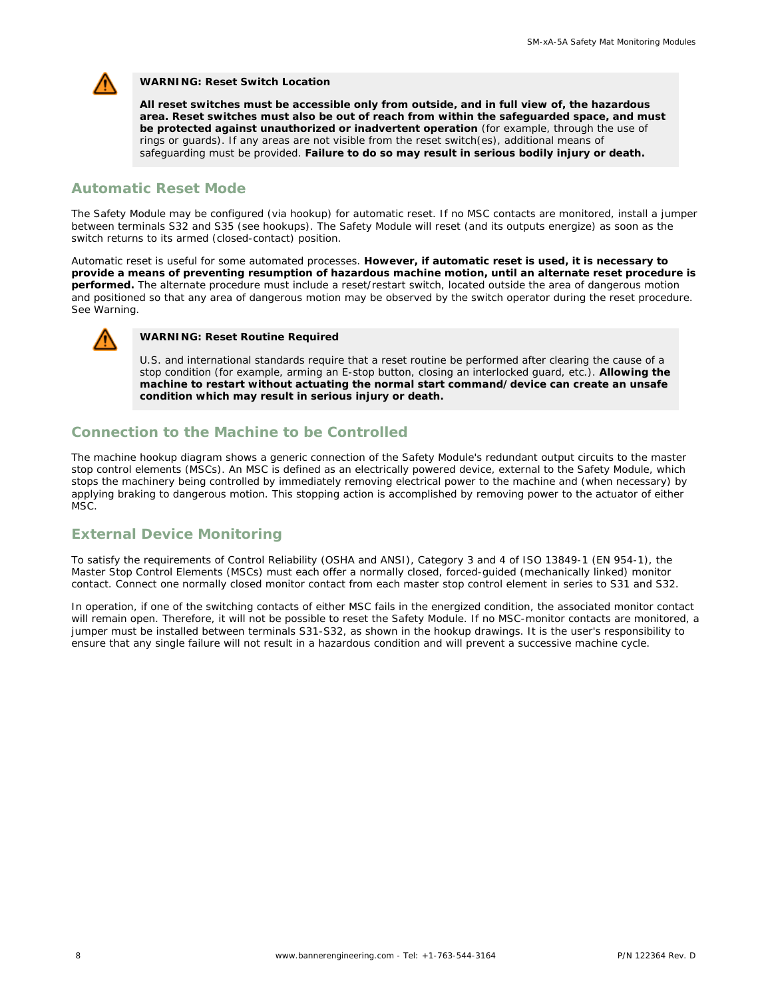

**WARNING: Reset Switch Location**

**All reset switches must be accessible only from outside, and in full view of, the hazardous area. Reset switches must also be out of reach from within the safeguarded space, and must be protected against unauthorized or inadvertent operation** (for example, through the use of rings or guards). If any areas are not visible from the reset switch(es), additional means of safeguarding must be provided. **Failure to do so may result in serious bodily injury or death.**

#### **Automatic Reset Mode**

The Safety Module may be configured (via hookup) for automatic reset. If no MSC contacts are monitored, install a jumper between terminals S32 and S35 (see hookups). The Safety Module will reset (and its outputs energize) as soon as the switch returns to its armed (closed-contact) position.

Automatic reset is useful for some automated processes. **However, if automatic reset is used, it is necessary to provide a means of preventing resumption of hazardous machine motion, until an alternate reset procedure is performed.** The alternate procedure must include a reset/restart switch, located outside the area of dangerous motion and positioned so that any area of dangerous motion may be observed by the switch operator during the reset procedure. See Warning.



**WARNING: Reset Routine Required**

U.S. and international standards require that a reset routine be performed after clearing the cause of a stop condition (for example, arming an E-stop button, closing an interlocked guard, etc.). **Allowing the machine to restart without actuating the normal start command/device can create an unsafe condition which may result in serious injury or death.**

#### **Connection to the Machine to be Controlled**

The machine hookup diagram shows a generic connection of the Safety Module's redundant output circuits to the master stop control elements (MSCs). An MSC is defined as an electrically powered device, external to the Safety Module, which stops the machinery being controlled by immediately removing electrical power to the machine and (when necessary) by applying braking to dangerous motion. This stopping action is accomplished by removing power to the actuator of either MSC.

## **External Device Monitoring**

To satisfy the requirements of Control Reliability (OSHA and ANSI), Category 3 and 4 of ISO 13849-1 (EN 954-1), the Master Stop Control Elements (MSCs) must each offer a normally closed, forced-guided (mechanically linked) monitor contact. Connect one normally closed monitor contact from each master stop control element in series to S31 and S32.

In operation, if one of the switching contacts of either MSC fails in the energized condition, the associated monitor contact will remain open. Therefore, it will not be possible to reset the Safety Module. If no MSC-monitor contacts are monitored, a jumper must be installed between terminals S31-S32, as shown in the hookup drawings. It is the user's responsibility to ensure that any single failure will not result in a hazardous condition and will prevent a successive machine cycle.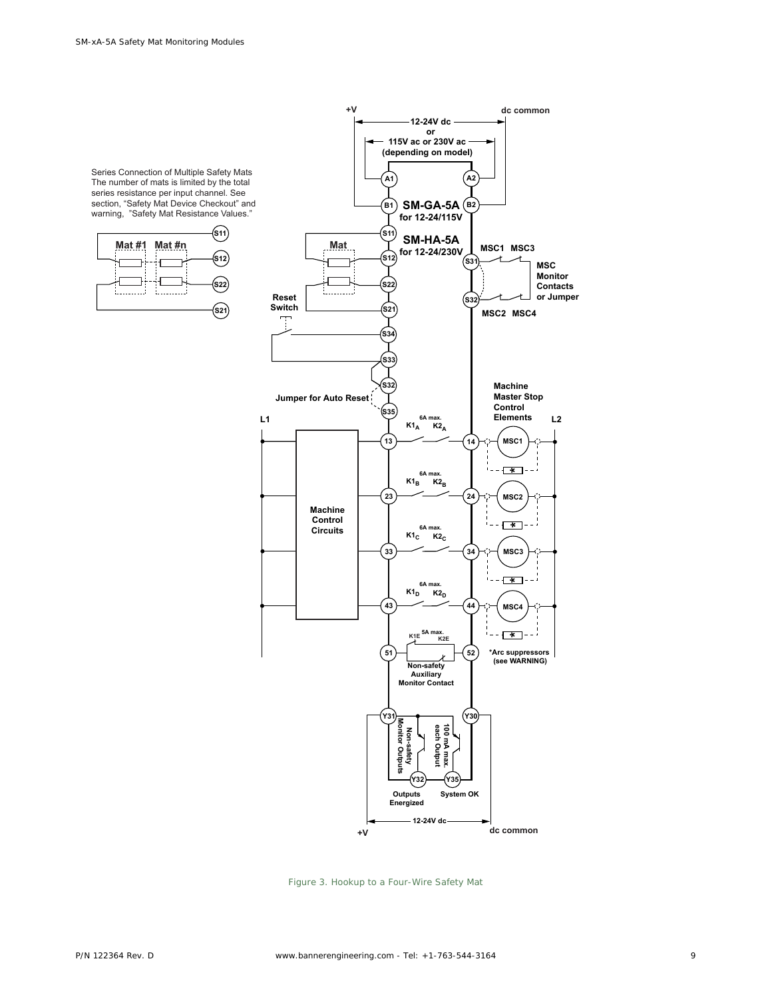

*Figure 3. Hookup to a Four-Wire Safety Mat*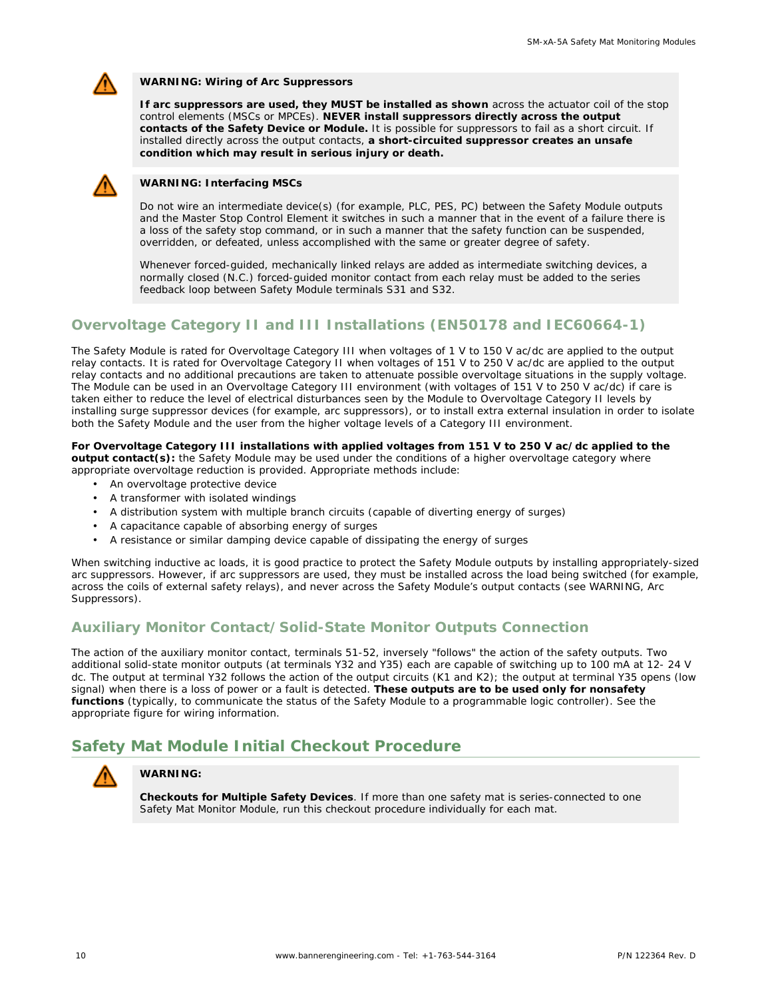

**WARNING: Wiring of Arc Suppressors**

**If arc suppressors are used, they MUST be installed as shown** across the actuator coil of the stop control elements (MSCs or MPCEs). **NEVER install suppressors directly across the output contacts of the Safety Device or Module.** It is possible for suppressors to fail as a short circuit. If installed directly across the output contacts, **a short-circuited suppressor creates an unsafe condition which may result in serious injury or death.**



**WARNING: Interfacing MSCs**

Do not wire an intermediate device(s) (for example, PLC, PES, PC) between the Safety Module outputs and the Master Stop Control Element it switches in such a manner that in the event of a failure there is a loss of the safety stop command, or in such a manner that the safety function can be suspended, overridden, or defeated, unless accomplished with the same or greater degree of safety.

Whenever forced-guided, mechanically linked relays are added as intermediate switching devices, a normally closed (N.C.) forced-guided monitor contact from each relay must be added to the series feedback loop between Safety Module terminals S31 and S32.

## **Overvoltage Category II and III Installations (EN50178 and IEC60664-1)**

The Safety Module is rated for Overvoltage Category III when voltages of 1 V to 150 V ac/dc are applied to the output relay contacts. It is rated for Overvoltage Category II when voltages of 151 V to 250 V ac/dc are applied to the output relay contacts and no additional precautions are taken to attenuate possible overvoltage situations in the supply voltage. The Module can be used in an Overvoltage Category III environment (with voltages of 151 V to 250 V ac/dc) if care is taken either to reduce the level of electrical disturbances seen by the Module to Overvoltage Category II levels by installing surge suppressor devices (for example, arc suppressors), or to install extra external insulation in order to isolate both the Safety Module and the user from the higher voltage levels of a Category III environment.

**For Overvoltage Category III installations with applied voltages from 151 V to 250 V ac/dc applied to the output contact(s):** the Safety Module may be used under the conditions of a higher overvoltage category where appropriate overvoltage reduction is provided. Appropriate methods include:

- An overvoltage protective device
- A transformer with isolated windings
- A distribution system with multiple branch circuits (capable of diverting energy of surges)
- A capacitance capable of absorbing energy of surges
- A resistance or similar damping device capable of dissipating the energy of surges

When switching inductive ac loads, it is good practice to protect the Safety Module outputs by installing appropriately-sized arc suppressors. However, if arc suppressors are used, they must be installed across the load being switched (for example, across the coils of external safety relays), and never across the Safety Module's output contacts (see WARNING, Arc Suppressors).

## **Auxiliary Monitor Contact/Solid-State Monitor Outputs Connection**

The action of the auxiliary monitor contact, terminals 51-52, inversely "follows" the action of the safety outputs. Two additional solid-state monitor outputs (at terminals Y32 and Y35) each are capable of switching up to 100 mA at 12- 24 V dc. The output at terminal Y32 follows the action of the output circuits (K1 and K2); the output at terminal Y35 opens (low signal) when there is a loss of power or a fault is detected. **These outputs are to be used only for nonsafety functions** (typically, to communicate the status of the Safety Module to a programmable logic controller). See the appropriate figure for wiring information.

## **Safety Mat Module Initial Checkout Procedure**



#### **WARNING:**

**Checkouts for Multiple Safety Devices**. If more than one safety mat is series-connected to one Safety Mat Monitor Module, run this checkout procedure individually for each mat.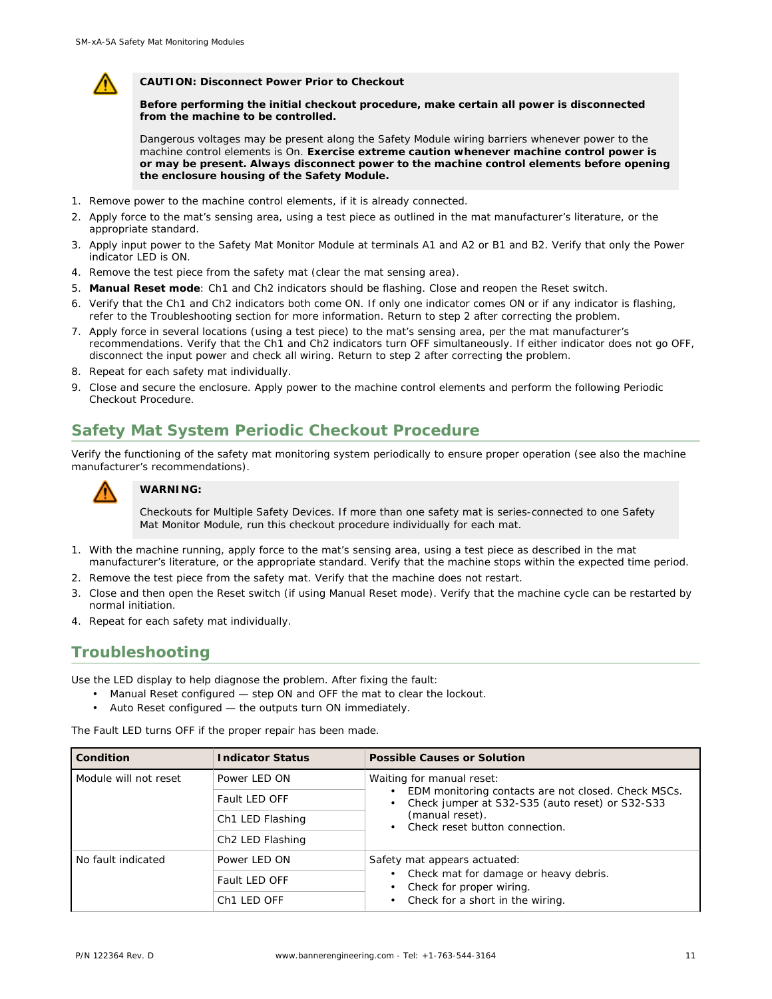

**CAUTION: Disconnect Power Prior to Checkout**

**Before performing the initial checkout procedure, make certain all power is disconnected from the machine to be controlled.**

Dangerous voltages may be present along the Safety Module wiring barriers whenever power to the machine control elements is On. **Exercise extreme caution whenever machine control power is or may be present. Always disconnect power to the machine control elements before opening the enclosure housing of the Safety Module.**

- 1. Remove power to the machine control elements, if it is already connected.
- 2. Apply force to the mat's sensing area, using a test piece as outlined in the mat manufacturer's literature, or the appropriate standard.
- 3. Apply input power to the Safety Mat Monitor Module at terminals A1 and A2 or B1 and B2. Verify that only the Power indicator LED is ON.
- 4. Remove the test piece from the safety mat (clear the mat sensing area).
- 5. **Manual Reset mode**: Ch1 and Ch2 indicators should be flashing. Close and reopen the Reset switch.
- 6. Verify that the Ch1 and Ch2 indicators both come ON. If only one indicator comes ON or if any indicator is flashing, refer to the Troubleshooting section for more information. Return to step 2 after correcting the problem.
- 7. Apply force in several locations (using a test piece) to the mat's sensing area, per the mat manufacturer's recommendations. Verify that the Ch1 and Ch2 indicators turn OFF simultaneously. If either indicator does not go OFF, disconnect the input power and check all wiring. Return to step 2 after correcting the problem.
- 8. Repeat for each safety mat individually.
- 9. Close and secure the enclosure. Apply power to the machine control elements and perform the following Periodic Checkout Procedure.

# **Safety Mat System Periodic Checkout Procedure**

Verify the functioning of the safety mat monitoring system periodically to ensure proper operation (see also the machine manufacturer's recommendations).



#### **WARNING:**

Checkouts for Multiple Safety Devices. If more than one safety mat is series-connected to one Safety Mat Monitor Module, run this checkout procedure individually for each mat.

- 1. With the machine running, apply force to the mat's sensing area, using a test piece as described in the mat manufacturer's literature, or the appropriate standard. Verify that the machine stops within the expected time period.
- 2. Remove the test piece from the safety mat. Verify that the machine does not restart.
- 3. Close and then open the Reset switch (if using Manual Reset mode). Verify that the machine cycle can be restarted by normal initiation.
- 4. Repeat for each safety mat individually.

## **Troubleshooting**

Use the LED display to help diagnose the problem. After fixing the fault:

- Manual Reset configured step ON and OFF the mat to clear the lockout.
- Auto Reset configured the outputs turn ON immediately.

The Fault LED turns OFF if the proper repair has been made.

| Condition             | <b>Indicator Status</b>      | Possible Causes or Solution                                                                            |
|-----------------------|------------------------------|--------------------------------------------------------------------------------------------------------|
| Module will not reset | Power LED ON                 | Waiting for manual reset:                                                                              |
|                       | Fault LED OFF                | EDM monitoring contacts are not closed. Check MSCs.<br>Check jumper at S32-S35 (auto reset) or S32-S33 |
|                       | Ch1 LED Flashing             | (manual reset).<br>• Check reset button connection.                                                    |
|                       | Ch <sub>2</sub> LED Flashing |                                                                                                        |
| No fault indicated    | Power LED ON                 | Safety mat appears actuated:                                                                           |
|                       | Fault LED OFF                | Check mat for damage or heavy debris.<br>Check for proper wiring.                                      |
|                       | Ch <sub>1</sub> LED OFF      | Check for a short in the wiring.                                                                       |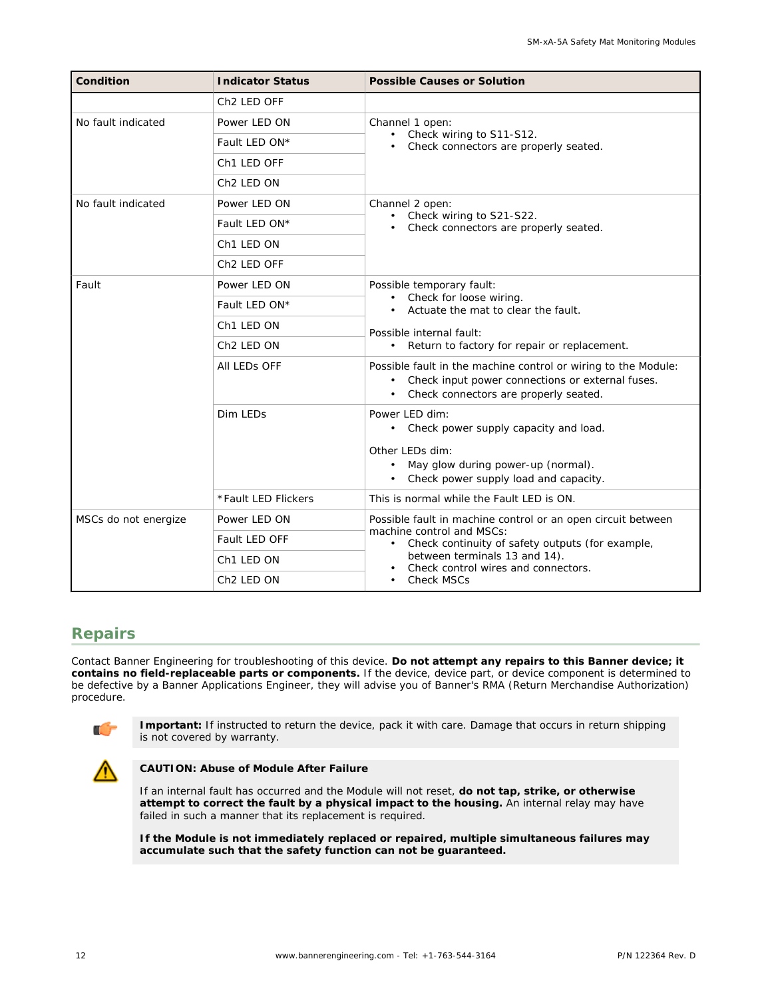| Condition            | <b>Indicator Status</b> | Possible Causes or Solution                                                                                                                                 |
|----------------------|-------------------------|-------------------------------------------------------------------------------------------------------------------------------------------------------------|
|                      | Ch <sub>2</sub> LED OFF |                                                                                                                                                             |
| No fault indicated   | Power LED ON            | Channel 1 open:                                                                                                                                             |
|                      | Fault LED ON*           | • Check wiring to S11-S12.<br>Check connectors are properly seated.                                                                                         |
|                      | Ch1 LED OFF             |                                                                                                                                                             |
|                      | Ch <sub>2</sub> LED ON  |                                                                                                                                                             |
| No fault indicated   | Power LED ON            | Channel 2 open:                                                                                                                                             |
|                      | Fault LED ON*           | Check wiring to S21-S22.<br>Check connectors are properly seated.                                                                                           |
|                      | Ch <sub>1</sub> LED ON  |                                                                                                                                                             |
|                      | Ch <sub>2</sub> LED OFF |                                                                                                                                                             |
| Fault                | Power LED ON            | Possible temporary fault:                                                                                                                                   |
|                      | Fault LED ON*           | • Check for loose wiring.<br>Actuate the mat to clear the fault.                                                                                            |
|                      | Ch1 LED ON              | Possible internal fault:                                                                                                                                    |
|                      | Ch <sub>2</sub> LED ON  | • Return to factory for repair or replacement.                                                                                                              |
|                      | All LEDS OFF            | Possible fault in the machine control or wiring to the Module:<br>Check input power connections or external fuses.<br>Check connectors are properly seated. |
|                      | Dim LEDs                | Power LED dim:<br>Check power supply capacity and load.<br>Other LEDs dim:<br>May glow during power-up (normal).<br>Check power supply load and capacity.   |
|                      | *Fault LED Flickers     | This is normal while the Fault LED is ON.                                                                                                                   |
| MSCs do not energize | Power LED ON            | Possible fault in machine control or an open circuit between                                                                                                |
|                      | Fault LED OFF           | machine control and MSCs:<br>Check continuity of safety outputs (for example,<br>$\bullet$                                                                  |
|                      | Ch1 LED ON              | between terminals 13 and 14).<br>Check control wires and connectors.                                                                                        |
|                      | Ch <sub>2</sub> LED ON  | <b>Check MSCs</b>                                                                                                                                           |

## **Repairs**

Contact Banner Engineering for troubleshooting of this device. **Do not attempt any repairs to this Banner device; it contains no field-replaceable parts or components.** If the device, device part, or device component is determined to be defective by a Banner Applications Engineer, they will advise you of Banner's RMA (Return Merchandise Authorization) procedure.



**Important:** If instructed to return the device, pack it with care. Damage that occurs in return shipping is not covered by warranty.



**CAUTION: Abuse of Module After Failure**

If an internal fault has occurred and the Module will not reset, **do not tap, strike, or otherwise attempt to correct the fault by a physical impact to the housing.** An internal relay may have failed in such a manner that its replacement is required.

**If the Module is not immediately replaced or repaired, multiple simultaneous failures may accumulate such that the safety function can not be guaranteed.**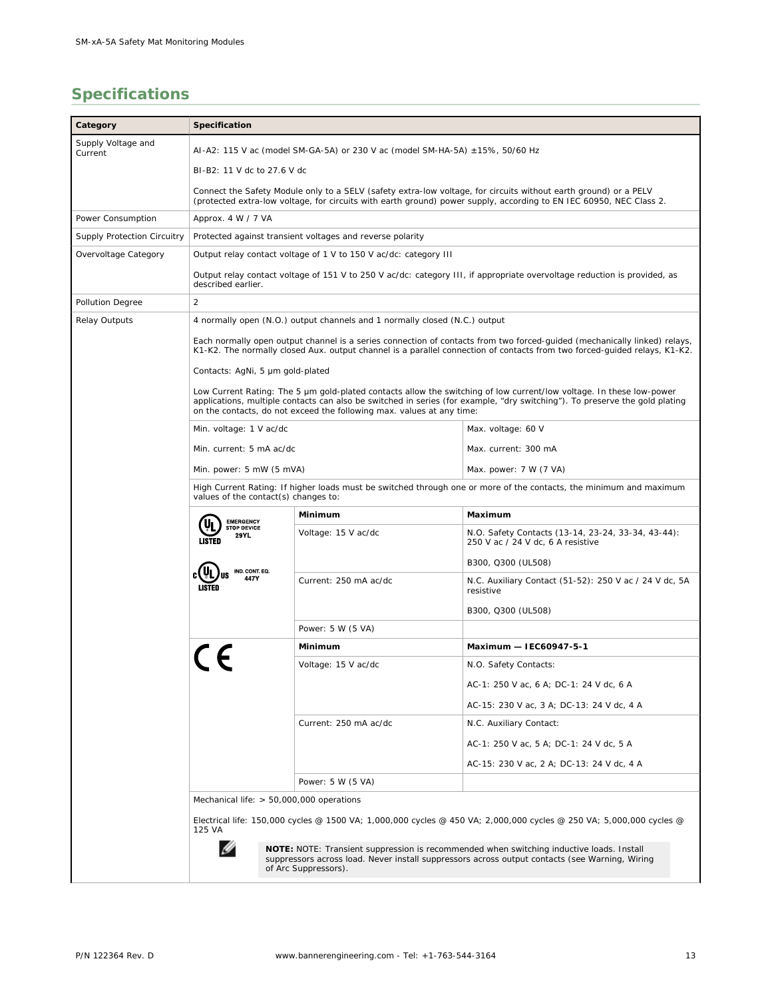# **Specifications**

| Category                                                                                                                                                                                                                                                                                                                     | Specification                                                                                                                                                                                                                                          |                                                                  |                                                                                                                                                                                            |  |  |
|------------------------------------------------------------------------------------------------------------------------------------------------------------------------------------------------------------------------------------------------------------------------------------------------------------------------------|--------------------------------------------------------------------------------------------------------------------------------------------------------------------------------------------------------------------------------------------------------|------------------------------------------------------------------|--------------------------------------------------------------------------------------------------------------------------------------------------------------------------------------------|--|--|
| Supply Voltage and<br>Current                                                                                                                                                                                                                                                                                                | AI-A2: 115 V ac (model SM-GA-5A) or 230 V ac (model SM-HA-5A) ±15%, 50/60 Hz                                                                                                                                                                           |                                                                  |                                                                                                                                                                                            |  |  |
|                                                                                                                                                                                                                                                                                                                              | BI-B2: 11 V dc to 27.6 V dc                                                                                                                                                                                                                            |                                                                  |                                                                                                                                                                                            |  |  |
|                                                                                                                                                                                                                                                                                                                              | Connect the Safety Module only to a SELV (safety extra-low voltage, for circuits without earth ground) or a PELV<br>(protected extra-low voltage, for circuits with earth ground) power supply, according to EN IEC 60950, NEC Class 2.                |                                                                  |                                                                                                                                                                                            |  |  |
| Power Consumption                                                                                                                                                                                                                                                                                                            | Approx. 4 W / 7 VA                                                                                                                                                                                                                                     |                                                                  |                                                                                                                                                                                            |  |  |
| Supply Protection Circuitry                                                                                                                                                                                                                                                                                                  | Protected against transient voltages and reverse polarity                                                                                                                                                                                              |                                                                  |                                                                                                                                                                                            |  |  |
| Overvoltage Category                                                                                                                                                                                                                                                                                                         |                                                                                                                                                                                                                                                        | Output relay contact voltage of 1 V to 150 V ac/dc: category III |                                                                                                                                                                                            |  |  |
|                                                                                                                                                                                                                                                                                                                              | Output relay contact voltage of 151 V to 250 V ac/dc: category III, if appropriate overvoltage reduction is provided, as<br>described earlier.                                                                                                         |                                                                  |                                                                                                                                                                                            |  |  |
| Pollution Degree                                                                                                                                                                                                                                                                                                             | $\overline{2}$                                                                                                                                                                                                                                         |                                                                  |                                                                                                                                                                                            |  |  |
| Relay Outputs                                                                                                                                                                                                                                                                                                                | 4 normally open (N.O.) output channels and 1 normally closed (N.C.) output                                                                                                                                                                             |                                                                  |                                                                                                                                                                                            |  |  |
|                                                                                                                                                                                                                                                                                                                              | Each normally open output channel is a series connection of contacts from two forced-guided (mechanically linked) relays,<br>K1-K2. The normally closed Aux. output channel is a parallel connection of contacts from two forced-guided relays, K1-K2. |                                                                  |                                                                                                                                                                                            |  |  |
|                                                                                                                                                                                                                                                                                                                              | Contacts: AgNi, 5 um gold-plated                                                                                                                                                                                                                       |                                                                  |                                                                                                                                                                                            |  |  |
| Low Current Rating: The 5 µm gold-plated contacts allow the switching of low current/low voltage. In these low-power<br>applications, multiple contacts can also be switched in series (for example, "dry switching"). To preserve the gold plating<br>on the contacts, do not exceed the following max. values at any time: |                                                                                                                                                                                                                                                        |                                                                  |                                                                                                                                                                                            |  |  |
|                                                                                                                                                                                                                                                                                                                              | Min. voltage: 1 V ac/dc                                                                                                                                                                                                                                |                                                                  | Max. voltage: 60 V                                                                                                                                                                         |  |  |
|                                                                                                                                                                                                                                                                                                                              | Min. current: 5 mA ac/dc                                                                                                                                                                                                                               |                                                                  | Max. current: 300 mA                                                                                                                                                                       |  |  |
|                                                                                                                                                                                                                                                                                                                              | Min. power: 5 mW (5 mVA)                                                                                                                                                                                                                               |                                                                  | Max. power: 7 W (7 VA)                                                                                                                                                                     |  |  |
|                                                                                                                                                                                                                                                                                                                              |                                                                                                                                                                                                                                                        |                                                                  | High Current Rating: If higher loads must be switched through one or more of the contacts, the minimum and maximum                                                                         |  |  |
|                                                                                                                                                                                                                                                                                                                              | values of the contact(s) changes to:                                                                                                                                                                                                                   |                                                                  |                                                                                                                                                                                            |  |  |
|                                                                                                                                                                                                                                                                                                                              | <b>EMERGENCY</b><br><b>STOP DEVICE</b>                                                                                                                                                                                                                 | Minimum                                                          | Maximum                                                                                                                                                                                    |  |  |
|                                                                                                                                                                                                                                                                                                                              | 29YL<br><b>LISTED</b>                                                                                                                                                                                                                                  | Voltage: 15 V ac/dc                                              | N.O. Safety Contacts (13-14, 23-24, 33-34, 43-44):<br>250 V ac / 24 V dc, 6 A resistive                                                                                                    |  |  |
|                                                                                                                                                                                                                                                                                                                              | IND. CONT. EQ.                                                                                                                                                                                                                                         |                                                                  | B300, Q300 (UL508)                                                                                                                                                                         |  |  |
|                                                                                                                                                                                                                                                                                                                              | 447V                                                                                                                                                                                                                                                   | Current: 250 mA ac/dc                                            | N.C. Auxiliary Contact (51-52): 250 V ac / 24 V dc, 5A<br>resistive                                                                                                                        |  |  |
|                                                                                                                                                                                                                                                                                                                              |                                                                                                                                                                                                                                                        |                                                                  | B300, Q300 (UL508)                                                                                                                                                                         |  |  |
|                                                                                                                                                                                                                                                                                                                              |                                                                                                                                                                                                                                                        | Power: 5 W (5 VA)                                                |                                                                                                                                                                                            |  |  |
|                                                                                                                                                                                                                                                                                                                              |                                                                                                                                                                                                                                                        | Minimum                                                          | Maximum - IEC60947-5-1                                                                                                                                                                     |  |  |
|                                                                                                                                                                                                                                                                                                                              |                                                                                                                                                                                                                                                        | Voltage: 15 V ac/dc                                              | N.O. Safety Contacts:                                                                                                                                                                      |  |  |
|                                                                                                                                                                                                                                                                                                                              |                                                                                                                                                                                                                                                        |                                                                  | AC-1: 250 V ac, 6 A; DC-1: 24 V dc, 6 A                                                                                                                                                    |  |  |
|                                                                                                                                                                                                                                                                                                                              |                                                                                                                                                                                                                                                        |                                                                  | AC-15: 230 V ac, 3 A; DC-13: 24 V dc, 4 A                                                                                                                                                  |  |  |
|                                                                                                                                                                                                                                                                                                                              |                                                                                                                                                                                                                                                        | Current: 250 mA ac/dc                                            | N.C. Auxiliary Contact:                                                                                                                                                                    |  |  |
|                                                                                                                                                                                                                                                                                                                              |                                                                                                                                                                                                                                                        |                                                                  | AC-1: 250 V ac, 5 A; DC-1: 24 V dc, 5 A                                                                                                                                                    |  |  |
|                                                                                                                                                                                                                                                                                                                              |                                                                                                                                                                                                                                                        |                                                                  | AC-15: 230 V ac, 2 A; DC-13: 24 V dc, 4 A                                                                                                                                                  |  |  |
|                                                                                                                                                                                                                                                                                                                              |                                                                                                                                                                                                                                                        | Power: 5 W (5 VA)                                                |                                                                                                                                                                                            |  |  |
|                                                                                                                                                                                                                                                                                                                              | Mechanical life: > 50,000,000 operations                                                                                                                                                                                                               |                                                                  |                                                                                                                                                                                            |  |  |
|                                                                                                                                                                                                                                                                                                                              | Electrical life: 150,000 cycles @ 1500 VA; 1,000,000 cycles @ 450 VA; 2,000,000 cycles @ 250 VA; 5,000,000 cycles @<br>125 VA                                                                                                                          |                                                                  |                                                                                                                                                                                            |  |  |
|                                                                                                                                                                                                                                                                                                                              |                                                                                                                                                                                                                                                        | of Arc Suppressors).                                             | NOTE: NOTE: Transient suppression is recommended when switching inductive loads. Install<br>suppressors across load. Never install suppressors across output contacts (see Warning, Wiring |  |  |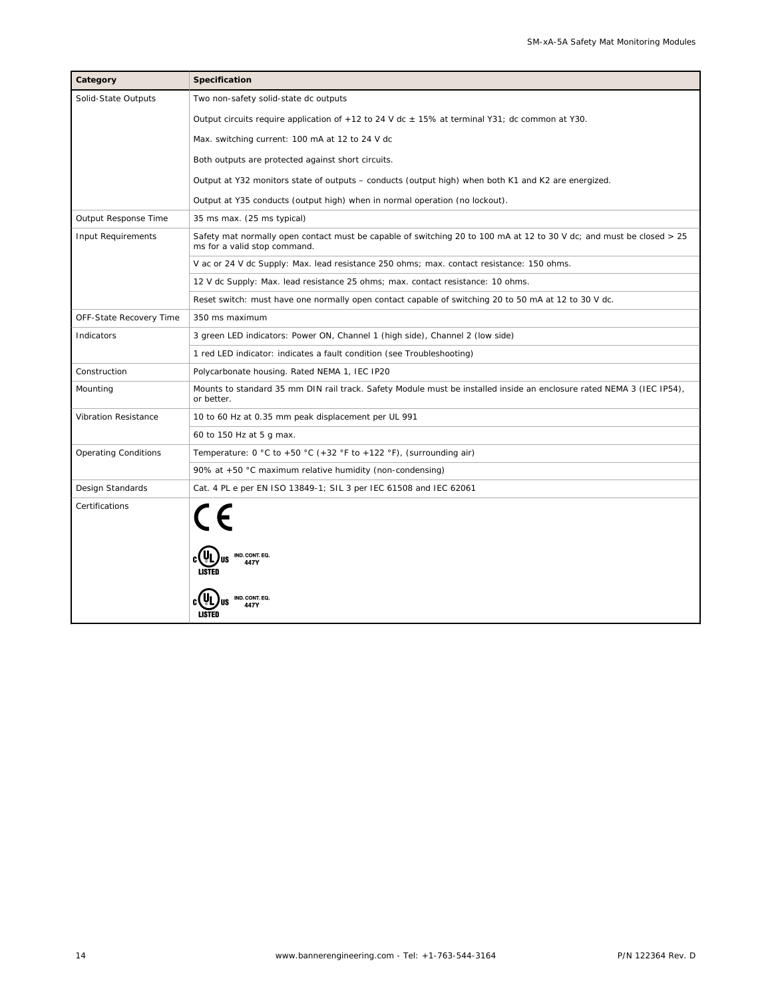| Category                    | Specification                                                                                                                                        |  |  |
|-----------------------------|------------------------------------------------------------------------------------------------------------------------------------------------------|--|--|
| Solid-State Outputs         | Two non-safety solid-state dc outputs                                                                                                                |  |  |
|                             | Output circuits require application of +12 to 24 V dc $\pm$ 15% at terminal Y31; dc common at Y30.                                                   |  |  |
|                             | Max. switching current: 100 mA at 12 to 24 V dc                                                                                                      |  |  |
|                             | Both outputs are protected against short circuits.                                                                                                   |  |  |
|                             | Output at Y32 monitors state of outputs – conducts (output high) when both K1 and K2 are energized.                                                  |  |  |
|                             | Output at Y35 conducts (output high) when in normal operation (no lockout).                                                                          |  |  |
| Output Response Time        | 35 ms max. (25 ms typical)                                                                                                                           |  |  |
| Input Requirements          | Safety mat normally open contact must be capable of switching 20 to 100 mA at 12 to 30 V dc; and must be closed > 25<br>ms for a valid stop command. |  |  |
|                             | V ac or 24 V dc Supply: Max. lead resistance 250 ohms; max. contact resistance: 150 ohms.                                                            |  |  |
|                             | 12 V dc Supply: Max. lead resistance 25 ohms; max. contact resistance: 10 ohms.                                                                      |  |  |
|                             | Reset switch: must have one normally open contact capable of switching 20 to 50 mA at 12 to 30 V dc.                                                 |  |  |
| OFF-State Recovery Time     | 350 ms maximum                                                                                                                                       |  |  |
| Indicators                  | 3 green LED indicators: Power ON, Channel 1 (high side), Channel 2 (low side)                                                                        |  |  |
|                             | 1 red LED indicator: indicates a fault condition (see Troubleshooting)                                                                               |  |  |
| Construction                | Polycarbonate housing. Rated NEMA 1, IEC IP20                                                                                                        |  |  |
| Mounting                    | Mounts to standard 35 mm DIN rail track. Safety Module must be installed inside an enclosure rated NEMA 3 (IEC IP54),<br>or better.                  |  |  |
| Vibration Resistance        | 10 to 60 Hz at 0.35 mm peak displacement per UL 991                                                                                                  |  |  |
|                             | 60 to 150 Hz at 5 g max.                                                                                                                             |  |  |
| <b>Operating Conditions</b> | Temperature: $0 °C$ to +50 °C (+32 °F to +122 °F), (surrounding air)                                                                                 |  |  |
|                             | 90% at +50 °C maximum relative humidity (non-condensing)                                                                                             |  |  |
| Design Standards            | Cat. 4 PL e per EN ISO 13849-1; SIL 3 per IEC 61508 and IEC 62061                                                                                    |  |  |
| Certifications              | CE<br>IND. CONT. EQ.<br>447V<br>LISTED<br>IND. CONT. EQ.<br>LISTED                                                                                   |  |  |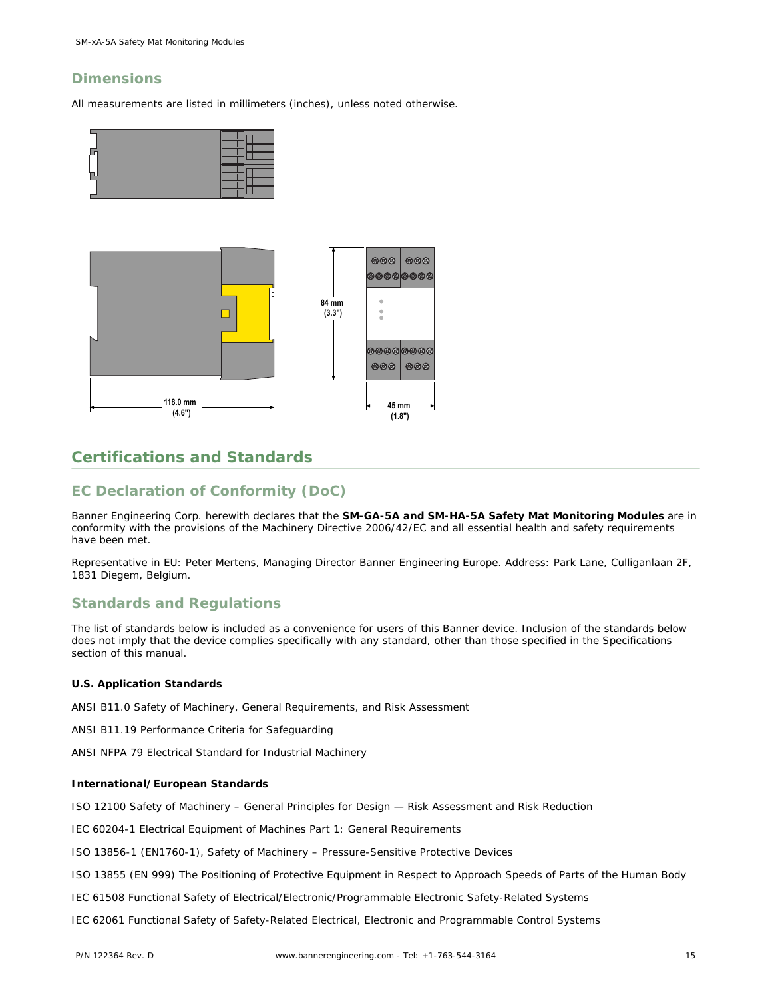## **Dimensions**

All measurements are listed in millimeters (inches), unless noted otherwise.





## **Certifications and Standards**

## **EC Declaration of Conformity (DoC)**

Banner Engineering Corp. herewith declares that the **SM-GA-5A and SM-HA-5A Safety Mat Monitoring Modules** are in conformity with the provisions of the Machinery Directive 2006/42/EC and all essential health and safety requirements have been met.

Representative in EU: Peter Mertens, Managing Director Banner Engineering Europe. Address: Park Lane, Culliganlaan 2F, 1831 Diegem, Belgium.

## **Standards and Regulations**

The list of standards below is included as a convenience for users of this Banner device. Inclusion of the standards below does not imply that the device complies specifically with any standard, other than those specified in the Specifications section of this manual.

**U.S. Application Standards**

ANSI B11.0 Safety of Machinery, General Requirements, and Risk Assessment

ANSI B11.19 Performance Criteria for Safeguarding

ANSI NFPA 79 Electrical Standard for Industrial Machinery

**International/European Standards**

ISO 12100 Safety of Machinery – General Principles for Design — Risk Assessment and Risk Reduction

IEC 60204-1 Electrical Equipment of Machines Part 1: General Requirements

ISO 13856-1 (EN1760-1), Safety of Machinery – Pressure-Sensitive Protective Devices

ISO 13855 (EN 999) The Positioning of Protective Equipment in Respect to Approach Speeds of Parts of the Human Body

IEC 61508 Functional Safety of Electrical/Electronic/Programmable Electronic Safety-Related Systems

IEC 62061 Functional Safety of Safety-Related Electrical, Electronic and Programmable Control Systems